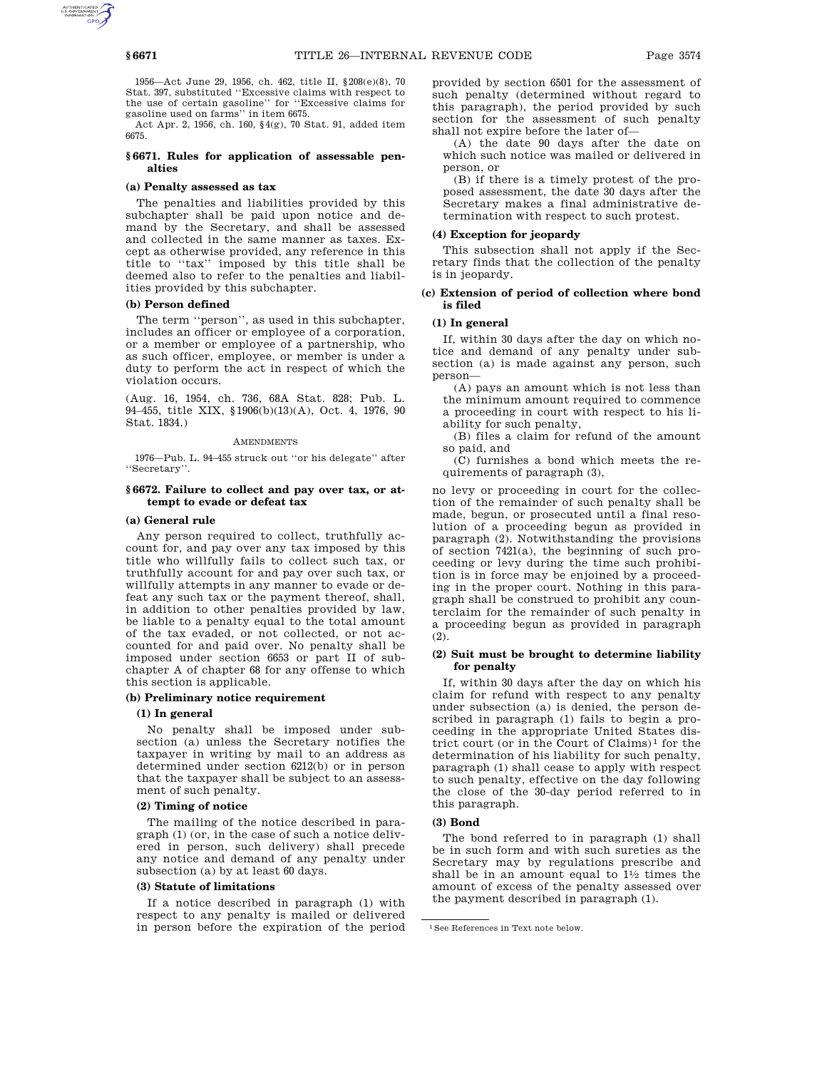1956—Act June 29, 1956, ch. 462, title II, §208(e)(8), 70 Stat. 397, substituted ''Excessive claims with respect to the use of certain gasoline'' for ''Excessive claims for gasoline used on farms'' in item 6675.

Act Apr. 2, 1956, ch. 160, §4(g), 70 Stat. 91, added item 6675.

# **§ 6671. Rules for application of assessable penalties**

## **(a) Penalty assessed as tax**

The penalties and liabilities provided by this subchapter shall be paid upon notice and demand by the Secretary, and shall be assessed and collected in the same manner as taxes. Except as otherwise provided, any reference in this title to ''tax'' imposed by this title shall be deemed also to refer to the penalties and liabilities provided by this subchapter.

# **(b) Person defined**

The term ''person'', as used in this subchapter, includes an officer or employee of a corporation, or a member or employee of a partnership, who as such officer, employee, or member is under a duty to perform the act in respect of which the violation occurs.

(Aug. 16, 1954, ch. 736, 68A Stat. 828; Pub. L. 94–455, title XIX, §1906(b)(13)(A), Oct. 4, 1976, 90 Stat. 1834.)

#### **AMENDMENTS**

1976—Pub. L. 94–455 struck out ''or his delegate'' after ''Secretary''.

# **§ 6672. Failure to collect and pay over tax, or attempt to evade or defeat tax**

## **(a) General rule**

Any person required to collect, truthfully account for, and pay over any tax imposed by this title who willfully fails to collect such tax, or truthfully account for and pay over such tax, or willfully attempts in any manner to evade or defeat any such tax or the payment thereof, shall, in addition to other penalties provided by law, be liable to a penalty equal to the total amount of the tax evaded, or not collected, or not accounted for and paid over. No penalty shall be imposed under section 6653 or part II of subchapter A of chapter 68 for any offense to which this section is applicable.

# **(b) Preliminary notice requirement**

## **(1) In general**

No penalty shall be imposed under subsection (a) unless the Secretary notifies the taxpayer in writing by mail to an address as determined under section 6212(b) or in person that the taxpayer shall be subject to an assessment of such penalty.

## **(2) Timing of notice**

The mailing of the notice described in paragraph (1) (or, in the case of such a notice delivered in person, such delivery) shall precede any notice and demand of any penalty under subsection (a) by at least 60 days.

## **(3) Statute of limitations**

If a notice described in paragraph (1) with respect to any penalty is mailed or delivered in person before the expiration of the period provided by section 6501 for the assessment of such penalty (determined without regard to this paragraph), the period provided by such section for the assessment of such penalty shall not expire before the later of—

(A) the date 90 days after the date on which such notice was mailed or delivered in person, or

(B) if there is a timely protest of the proposed assessment, the date 30 days after the Secretary makes a final administrative determination with respect to such protest.

## **(4) Exception for jeopardy**

This subsection shall not apply if the Secretary finds that the collection of the penalty is in jeopardy.

# **(c) Extension of period of collection where bond is filed**

#### **(1) In general**

If, within 30 days after the day on which notice and demand of any penalty under subsection (a) is made against any person, such person—

(A) pays an amount which is not less than the minimum amount required to commence a proceeding in court with respect to his liability for such penalty,

(B) files a claim for refund of the amount so paid, and

(C) furnishes a bond which meets the requirements of paragraph (3),

no levy or proceeding in court for the collection of the remainder of such penalty shall be made, begun, or prosecuted until a final resolution of a proceeding begun as provided in paragraph (2). Notwithstanding the provisions of section 7421(a), the beginning of such proceeding or levy during the time such prohibition is in force may be enjoined by a proceeding in the proper court. Nothing in this paragraph shall be construed to prohibit any counterclaim for the remainder of such penalty in a proceeding begun as provided in paragraph (2).

# **(2) Suit must be brought to determine liability for penalty**

If, within 30 days after the day on which his claim for refund with respect to any penalty under subsection (a) is denied, the person described in paragraph (1) fails to begin a proceeding in the appropriate United States district court (or in the Court of Claims)<sup>1</sup> for the determination of his liability for such penalty, paragraph (1) shall cease to apply with respect to such penalty, effective on the day following the close of the 30-day period referred to in this paragraph.

# **(3) Bond**

The bond referred to in paragraph (1) shall be in such form and with such sureties as the Secretary may by regulations prescribe and shall be in an amount equal to  $1\frac{1}{2}$  times the amount of excess of the penalty assessed over the payment described in paragraph (1).

<sup>1</sup>See References in Text note below.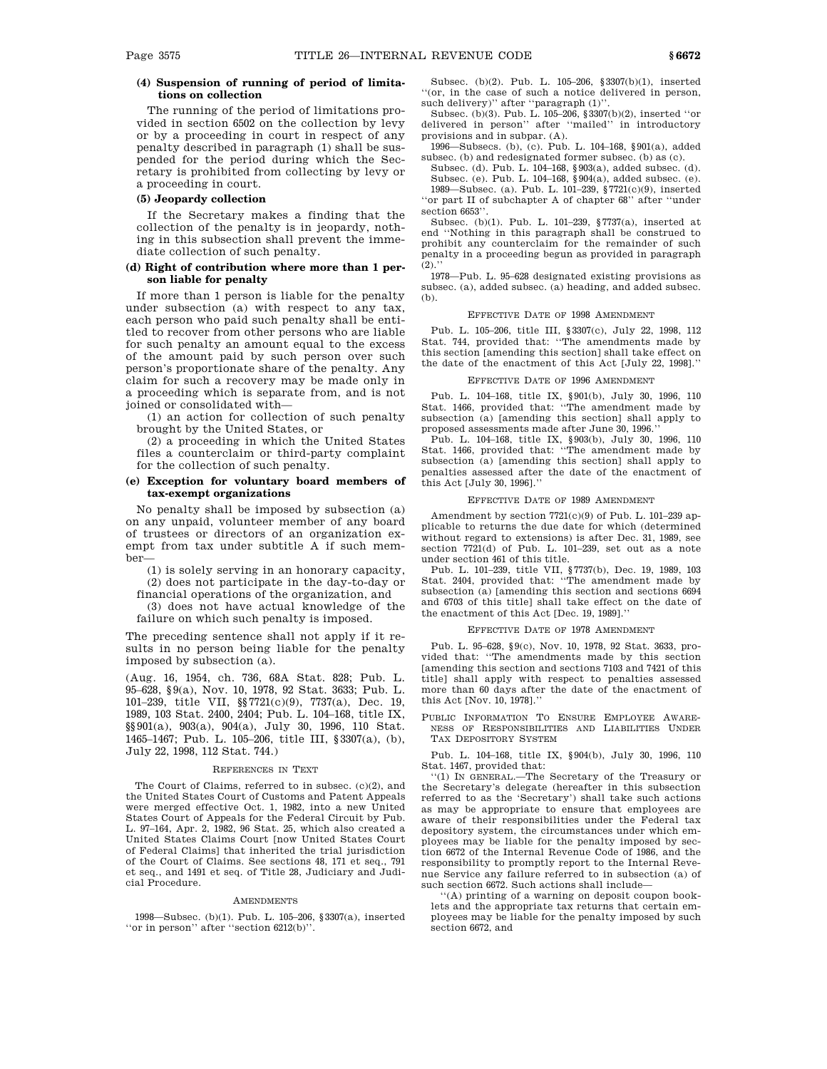# **(4) Suspension of running of period of limitations on collection**

The running of the period of limitations provided in section 6502 on the collection by levy or by a proceeding in court in respect of any penalty described in paragraph (1) shall be suspended for the period during which the Secretary is prohibited from collecting by levy or a proceeding in court.

# **(5) Jeopardy collection**

If the Secretary makes a finding that the collection of the penalty is in jeopardy, nothing in this subsection shall prevent the immediate collection of such penalty.

# **(d) Right of contribution where more than 1 person liable for penalty**

If more than 1 person is liable for the penalty under subsection (a) with respect to any tax, each person who paid such penalty shall be entitled to recover from other persons who are liable for such penalty an amount equal to the excess of the amount paid by such person over such person's proportionate share of the penalty. Any claim for such a recovery may be made only in a proceeding which is separate from, and is not joined or consolidated with—

(1) an action for collection of such penalty brought by the United States, or

(2) a proceeding in which the United States files a counterclaim or third-party complaint for the collection of such penalty.

# **(e) Exception for voluntary board members of tax-exempt organizations**

No penalty shall be imposed by subsection (a) on any unpaid, volunteer member of any board of trustees or directors of an organization exempt from tax under subtitle A if such member—

(1) is solely serving in an honorary capacity, (2) does not participate in the day-to-day or

financial operations of the organization, and (3) does not have actual knowledge of the

failure on which such penalty is imposed.

The preceding sentence shall not apply if it results in no person being liable for the penalty imposed by subsection (a).

(Aug. 16, 1954, ch. 736, 68A Stat. 828; Pub. L. 95–628, §9(a), Nov. 10, 1978, 92 Stat. 3633; Pub. L. 101–239, title VII, §§7721(c)(9), 7737(a), Dec. 19, 1989, 103 Stat. 2400, 2404; Pub. L. 104–168, title IX, §§901(a), 903(a), 904(a), July 30, 1996, 110 Stat. 1465–1467; Pub. L. 105–206, title III, §3307(a), (b), July 22, 1998, 112 Stat. 744.)

### REFERENCES IN TEXT

The Court of Claims, referred to in subsec. (c)(2), and the United States Court of Customs and Patent Appeals were merged effective Oct. 1, 1982, into a new United States Court of Appeals for the Federal Circuit by Pub. L. 97–164, Apr. 2, 1982, 96 Stat. 25, which also created a United States Claims Court [now United States Court of Federal Claims] that inherited the trial jurisdiction of the Court of Claims. See sections 48, 171 et seq., 791 et seq., and 1491 et seq. of Title 28, Judiciary and Judicial Procedure.

#### **AMENDMENTS**

1998—Subsec. (b)(1). Pub. L. 105–206, §3307(a), inserted ''or in person'' after ''section 6212(b)''.

Subsec. (b)(2). Pub. L. 105–206, §3307(b)(1), inserted ''(or, in the case of such a notice delivered in person, such delivery)" after "paragraph  $(1)$ "

Subsec. (b)(3). Pub. L. 105–206, §3307(b)(2), inserted ''or delivered in person'' after ''mailed'' in introductory provisions and in subpar. (A).

1996—Subsecs. (b), (c). Pub. L. 104–168, §901(a), added subsec. (b) and redesignated former subsec. (b) as (c).

Subsec. (d). Pub. L. 104–168, §903(a), added subsec. (d). Subsec. (e). Pub. L. 104–168, §904(a), added subsec. (e). 1989—Subsec. (a). Pub. L. 101–239, §7721(c)(9), inserted

''or part II of subchapter A of chapter 68'' after ''under section 6653"

Subsec. (b)(1). Pub. L. 101–239, §7737(a), inserted at end ''Nothing in this paragraph shall be construed to prohibit any counterclaim for the remainder of such penalty in a proceeding begun as provided in paragraph  $(2).$ 

1978—Pub. L. 95–628 designated existing provisions as subsec. (a), added subsec. (a) heading, and added subsec. (b).

#### EFFECTIVE DATE OF 1998 AMENDMENT

Pub. L. 105–206, title III, §3307(c), July 22, 1998, 112 Stat. 744, provided that: ''The amendments made by this section [amending this section] shall take effect on the date of the enactment of this Act [July 22, 1998].''

## EFFECTIVE DATE OF 1996 AMENDMENT

Pub. L. 104–168, title IX, §901(b), July 30, 1996, 110 Stat. 1466, provided that: ''The amendment made by subsection (a) [amending this section] shall apply to proposed assessments made after June 30, 1996.''

Pub. L. 104–168, title IX, §903(b), July 30, 1996, 110 Stat. 1466, provided that: ''The amendment made by subsection (a) [amending this section] shall apply to penalties assessed after the date of the enactment of this Act [July 30, 1996].''

#### EFFECTIVE DATE OF 1989 AMENDMENT

Amendment by section 7721(c)(9) of Pub. L. 101–239 applicable to returns the due date for which (determined without regard to extensions) is after Dec. 31, 1989, see section 7721(d) of Pub. L. 101–239, set out as a note under section 461 of this title.

Pub. L. 101–239, title VII, §7737(b), Dec. 19, 1989, 103 Stat. 2404, provided that: ''The amendment made by subsection (a) [amending this section and sections 6694 and 6703 of this title] shall take effect on the date of the enactment of this Act [Dec. 19, 1989].''

#### EFFECTIVE DATE OF 1978 AMENDMENT

Pub. L. 95–628, §9(c), Nov. 10, 1978, 92 Stat. 3633, provided that: ''The amendments made by this section [amending this section and sections 7103 and 7421 of this title] shall apply with respect to penalties assessed more than 60 days after the date of the enactment of this Act [Nov. 10, 1978].''

PUBLIC INFORMATION TO ENSURE EMPLOYEE AWARE-NESS OF RESPONSIBILITIES AND LIABILITIES UNDER TAX DEPOSITORY SYSTEM

Pub. L. 104–168, title IX, §904(b), July 30, 1996, 110 Stat. 1467, provided that:

''(1) IN GENERAL.—The Secretary of the Treasury or the Secretary's delegate (hereafter in this subsection referred to as the 'Secretary') shall take such actions as may be appropriate to ensure that employees are aware of their responsibilities under the Federal tax depository system, the circumstances under which employees may be liable for the penalty imposed by section 6672 of the Internal Revenue Code of 1986, and the responsibility to promptly report to the Internal Revenue Service any failure referred to in subsection (a) of such section 6672. Such actions shall include—

''(A) printing of a warning on deposit coupon booklets and the appropriate tax returns that certain employees may be liable for the penalty imposed by such section 6672, and